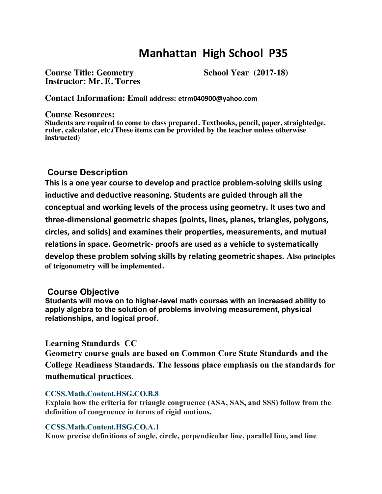# **Manhattan High School P35**

Course Title: Geometry School Year (2017-18) **Instructor: Mr. E. Torres**

**Contact Information: Email address: etrm040900@yahoo.com**

## **Course Resources:**

**Students are required to come to class prepared. Textbooks, pencil, paper, straightedge, ruler, calculator, etc.(These items can be provided by the teacher unless otherwise instructed)**

# **Course Description**

**This is a one year course to develop and practice problem-solving skills using inductive and deductive reasoning. Students are guided through all the conceptual and working levels of the process using geometry. It uses two and three-dimensional geometric shapes (points, lines, planes, triangles, polygons, circles, and solids) and examines their properties, measurements, and mutual relations in space. Geometric- proofs are used as a vehicle to systematically develop these problem solving skills by relating geometric shapes. Also principles of trigonometry will be implemented.**

## **Course Objective**

**Students will move on to higher-level math courses with an increased ability to apply algebra to the solution of problems involving measurement, physical relationships, and logical proof.**

## **Learning Standards CC**

**Geometry course goals are based on Common Core State Standards and the College Readiness Standards. The lessons place emphasis on the standards for mathematical practices**.

#### **CCSS.Math.Content.HSG.CO.B.8**

**Explain how the criteria for triangle congruence (ASA, SAS, and SSS) follow from the definition of congruence in terms of rigid motions.**

#### **CCSS.Math.Content.HSG.CO.A.1**

**Know precise definitions of angle, circle, perpendicular line, parallel line, and line**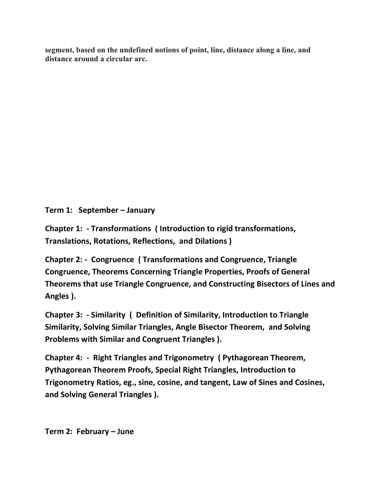**segment, based on the undefined notions of point, line, distance along a line, and distance around a circular arc.**

**Term 1: September – January**

**Chapter 1: - Transformations ( Introduction to rigid transformations, Translations, Rotations, Reflections, and Dilations )**

**Chapter 2: - Congruence ( Transformations and Congruence, Triangle Congruence, Theorems Concerning Triangle Properties, Proofs of General Theorems that use Triangle Congruence, and Constructing Bisectors of Lines and Angles ).**

**Chapter 3: - Similarity ( Definition of Similarity, Introduction to Triangle Similarity, Solving Similar Triangles, Angle Bisector Theorem, and Solving Problems with Similar and Congruent Triangles ).**

**Chapter 4: - Right Triangles and Trigonometry ( Pythagorean Theorem, Pythagorean Theorem Proofs, Special Right Triangles, Introduction to Trigonometry Ratios, eg., sine, cosine, and tangent, Law of Sines and Cosines, and Solving General Triangles ).**

**Term 2: February – June**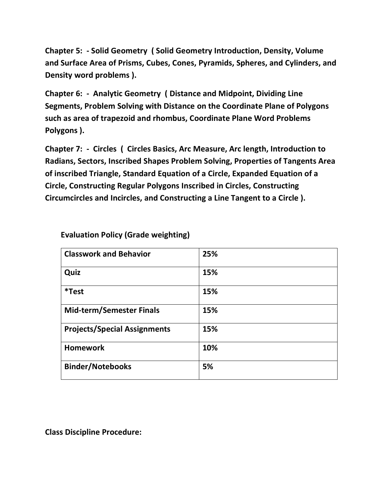**Chapter 5: - Solid Geometry ( Solid Geometry Introduction, Density, Volume and Surface Area of Prisms, Cubes, Cones, Pyramids, Spheres, and Cylinders, and Density word problems ).**

**Chapter 6: - Analytic Geometry ( Distance and Midpoint, Dividing Line Segments, Problem Solving with Distance on the Coordinate Plane of Polygons such as area of trapezoid and rhombus, Coordinate Plane Word Problems Polygons ).**

**Chapter 7: - Circles ( Circles Basics, Arc Measure, Arc length, Introduction to Radians, Sectors, Inscribed Shapes Problem Solving, Properties of Tangents Area of inscribed Triangle, Standard Equation of a Circle, Expanded Equation of a Circle, Constructing Regular Polygons Inscribed in Circles, Constructing Circumcircles and Incircles, and Constructing a Line Tangent to a Circle ).**

| <b>Classwork and Behavior</b>       | 25% |
|-------------------------------------|-----|
| Quiz                                | 15% |
| <i>*</i> Test                       | 15% |
| <b>Mid-term/Semester Finals</b>     | 15% |
| <b>Projects/Special Assignments</b> | 15% |
| <b>Homework</b>                     | 10% |
| <b>Binder/Notebooks</b>             | 5%  |

 **Evaluation Policy (Grade weighting)**

**Class Discipline Procedure:**